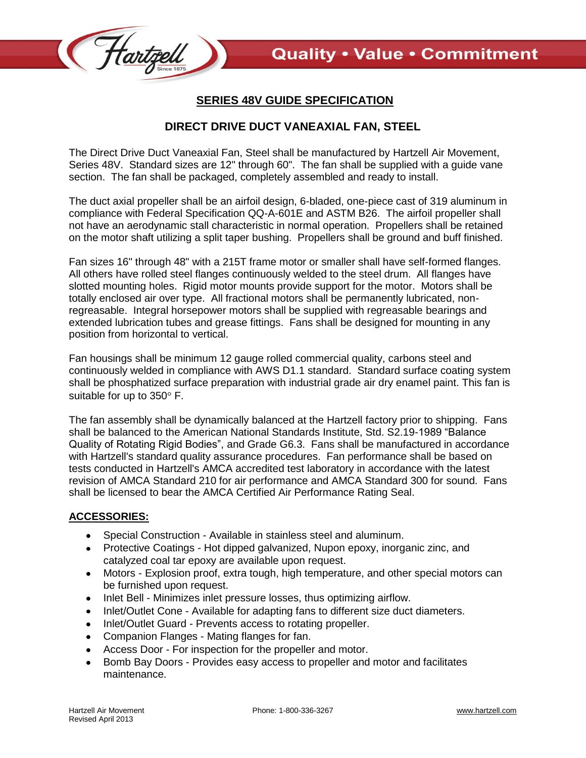

## **SERIES 48V GUIDE SPECIFICATION**

## **DIRECT DRIVE DUCT VANEAXIAL FAN, STEEL**

The Direct Drive Duct Vaneaxial Fan, Steel shall be manufactured by Hartzell Air Movement, Series 48V. Standard sizes are 12" through 60". The fan shall be supplied with a guide vane section. The fan shall be packaged, completely assembled and ready to install.

The duct axial propeller shall be an airfoil design, 6-bladed, one-piece cast of 319 aluminum in compliance with Federal Specification QQ-A-601E and ASTM B26. The airfoil propeller shall not have an aerodynamic stall characteristic in normal operation. Propellers shall be retained on the motor shaft utilizing a split taper bushing. Propellers shall be ground and buff finished.

Fan sizes 16" through 48" with a 215T frame motor or smaller shall have self-formed flanges. All others have rolled steel flanges continuously welded to the steel drum. All flanges have slotted mounting holes. Rigid motor mounts provide support for the motor. Motors shall be totally enclosed air over type. All fractional motors shall be permanently lubricated, nonregreasable. Integral horsepower motors shall be supplied with regreasable bearings and extended lubrication tubes and grease fittings. Fans shall be designed for mounting in any position from horizontal to vertical.

Fan housings shall be minimum 12 gauge rolled commercial quality, carbons steel and continuously welded in compliance with AWS D1.1 standard. Standard surface coating system shall be phosphatized surface preparation with industrial grade air dry enamel paint. This fan is suitable for up to  $350^\circ$  F.

The fan assembly shall be dynamically balanced at the Hartzell factory prior to shipping. Fans shall be balanced to the American National Standards Institute, Std. S2.19-1989 "Balance Quality of Rotating Rigid Bodies", and Grade G6.3. Fans shall be manufactured in accordance with Hartzell's standard quality assurance procedures. Fan performance shall be based on tests conducted in Hartzell's AMCA accredited test laboratory in accordance with the latest revision of AMCA Standard 210 for air performance and AMCA Standard 300 for sound. Fans shall be licensed to bear the AMCA Certified Air Performance Rating Seal.

## **ACCESSORIES:**

- Special Construction Available in stainless steel and aluminum.
- Protective Coatings Hot dipped galvanized, Nupon epoxy, inorganic zinc, and catalyzed coal tar epoxy are available upon request.
- Motors Explosion proof, extra tough, high temperature, and other special motors can  $\bullet$ be furnished upon request.
- Inlet Bell Minimizes inlet pressure losses, thus optimizing airflow.  $\bullet$
- Inlet/Outlet Cone Available for adapting fans to different size duct diameters.  $\bullet$
- Inlet/Outlet Guard Prevents access to rotating propeller.
- Companion Flanges Mating flanges for fan.  $\bullet$
- Access Door For inspection for the propeller and motor.  $\bullet$
- Bomb Bay Doors Provides easy access to propeller and motor and facilitates maintenance.